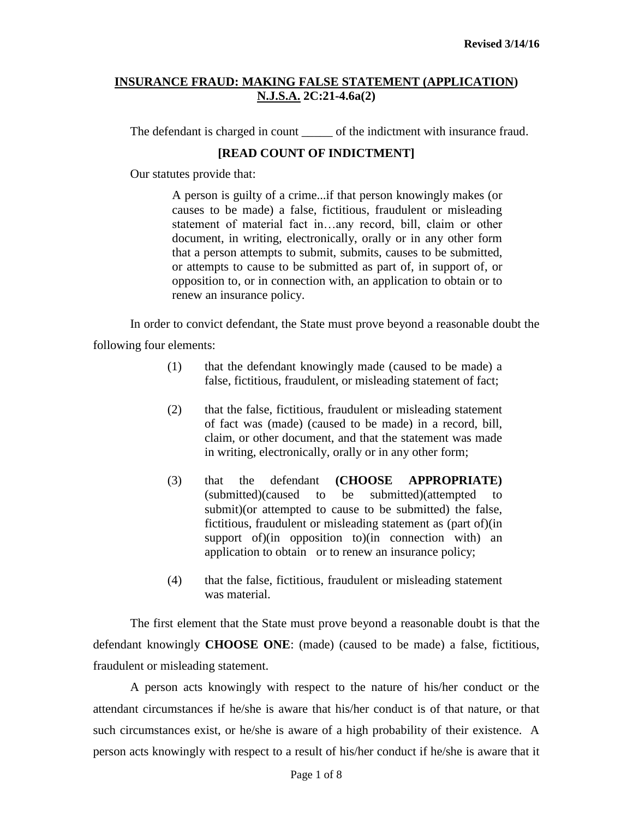The defendant is charged in count of the indictment with insurance fraud.

# **[READ COUNT OF INDICTMENT]**

Our statutes provide that:

A person is guilty of a crime...if that person knowingly makes (or causes to be made) a false, fictitious, fraudulent or misleading statement of material fact in…any record, bill, claim or other document, in writing, electronically, orally or in any other form that a person attempts to submit, submits, causes to be submitted, or attempts to cause to be submitted as part of, in support of, or opposition to, or in connection with, an application to obtain or to renew an insurance policy.

In order to convict defendant, the State must prove beyond a reasonable doubt the following four elements:

- (1) that the defendant knowingly made (caused to be made) a false, fictitious, fraudulent, or misleading statement of fact;
- (2) that the false, fictitious, fraudulent or misleading statement of fact was (made) (caused to be made) in a record, bill, claim, or other document, and that the statement was made in writing, electronically, orally or in any other form;
- (3) that the defendant **(CHOOSE APPROPRIATE)** (submitted)(caused to be submitted)(attempted to submit)(or attempted to cause to be submitted) the false, fictitious, fraudulent or misleading statement as (part of)(in support of)(in opposition to)(in connection with) an application to obtain or to renew an insurance policy;
- (4) that the false, fictitious, fraudulent or misleading statement was material.

The first element that the State must prove beyond a reasonable doubt is that the defendant knowingly **CHOOSE ONE**: (made) (caused to be made) a false, fictitious, fraudulent or misleading statement.

A person acts knowingly with respect to the nature of his/her conduct or the attendant circumstances if he/she is aware that his/her conduct is of that nature, or that such circumstances exist, or he/she is aware of a high probability of their existence. A person acts knowingly with respect to a result of his/her conduct if he/she is aware that it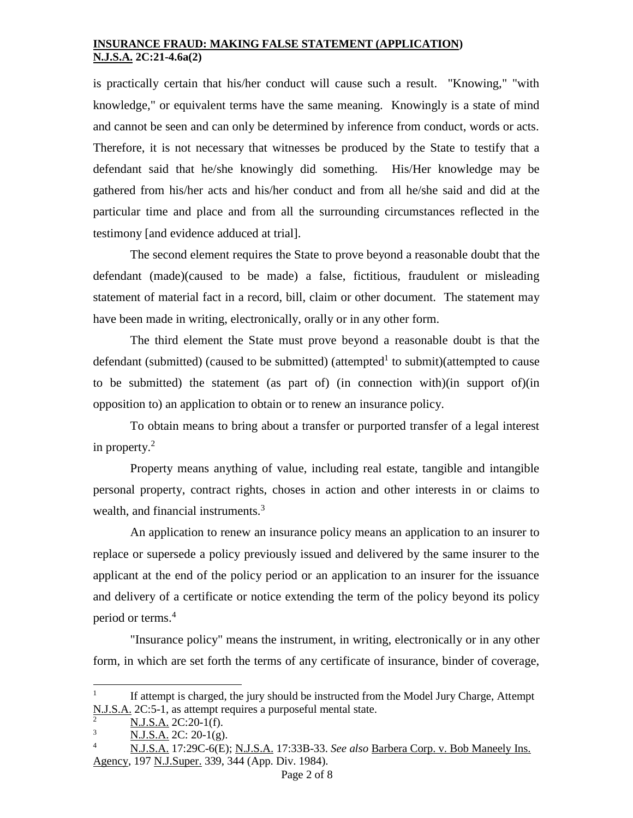is practically certain that his/her conduct will cause such a result. "Knowing," "with knowledge," or equivalent terms have the same meaning. Knowingly is a state of mind and cannot be seen and can only be determined by inference from conduct, words or acts. Therefore, it is not necessary that witnesses be produced by the State to testify that a defendant said that he/she knowingly did something. His/Her knowledge may be gathered from his/her acts and his/her conduct and from all he/she said and did at the particular time and place and from all the surrounding circumstances reflected in the testimony [and evidence adduced at trial].

The second element requires the State to prove beyond a reasonable doubt that the defendant (made)(caused to be made) a false, fictitious, fraudulent or misleading statement of material fact in a record, bill, claim or other document. The statement may have been made in writing, electronically, orally or in any other form.

The third element the State must prove beyond a reasonable doubt is that the defendant (submitted) (caused to be submitted) (attempted<sup>1</sup> to submit)(attempted to cause to be submitted) the statement (as part of) (in connection with)(in support of)(in opposition to) an application to obtain or to renew an insurance policy.

To obtain means to bring about a transfer or purported transfer of a legal interest in property. $2$ 

Property means anything of value, including real estate, tangible and intangible personal property, contract rights, choses in action and other interests in or claims to wealth, and financial instruments.<sup>3</sup>

An application to renew an insurance policy means an application to an insurer to replace or supersede a policy previously issued and delivered by the same insurer to the applicant at the end of the policy period or an application to an insurer for the issuance and delivery of a certificate or notice extending the term of the policy beyond its policy period or terms.<sup>4</sup>

"Insurance policy" means the instrument, in writing, electronically or in any other form, in which are set forth the terms of any certificate of insurance, binder of coverage,

l

<sup>1</sup> If attempt is charged, the jury should be instructed from the Model Jury Charge, Attempt N.J.S.A. 2C:5-1, as attempt requires a purposeful mental state.

 $N.J.S.A. 2C:20-1(f).$ 

 $N.J.S.A. 2C: 20-1(g).$ 

<sup>4</sup> N.J.S.A. 17:29C-6(E); N.J.S.A. 17:33B-33. *See also* Barbera Corp. v. Bob Maneely Ins. Agency, 197 N.J.Super. 339, 344 (App. Div. 1984).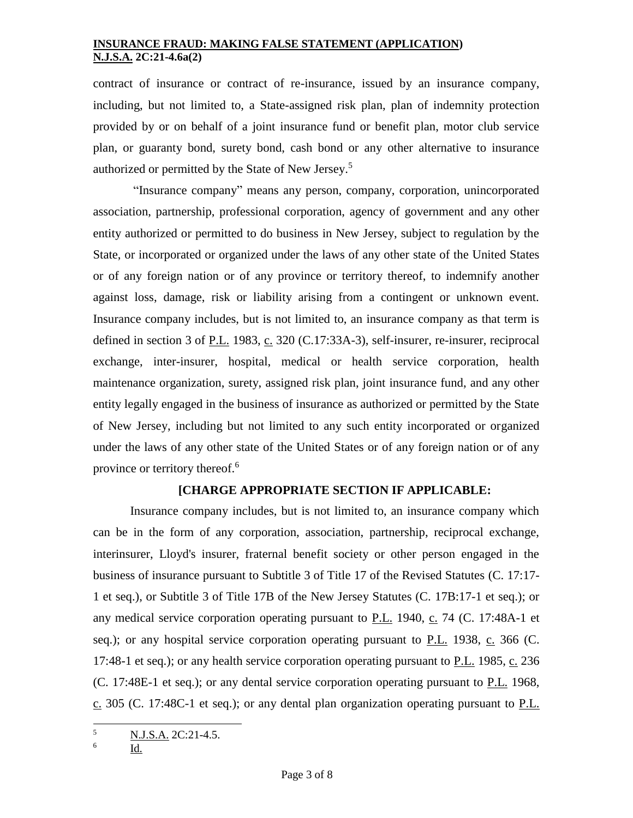contract of insurance or contract of re-insurance, issued by an insurance company, including, but not limited to, a State-assigned risk plan, plan of indemnity protection provided by or on behalf of a joint insurance fund or benefit plan, motor club service plan, or guaranty bond, surety bond, cash bond or any other alternative to insurance authorized or permitted by the State of New Jersey.<sup>5</sup>

"Insurance company" means any person, company, corporation, unincorporated association, partnership, professional corporation, agency of government and any other entity authorized or permitted to do business in New Jersey, subject to regulation by the State, or incorporated or organized under the laws of any other state of the United States or of any foreign nation or of any province or territory thereof, to indemnify another against loss, damage, risk or liability arising from a contingent or unknown event. Insurance company includes, but is not limited to, an insurance company as that term is defined in section 3 of P.L. 1983, c. 320 (C.17:33A-3), self-insurer, re-insurer, reciprocal exchange, inter-insurer, hospital, medical or health service corporation, health maintenance organization, surety, assigned risk plan, joint insurance fund, and any other entity legally engaged in the business of insurance as authorized or permitted by the State of New Jersey, including but not limited to any such entity incorporated or organized under the laws of any other state of the United States or of any foreign nation or of any province or territory thereof.<sup>6</sup>

## **[CHARGE APPROPRIATE SECTION IF APPLICABLE:**

Insurance company includes, but is not limited to, an insurance company which can be in the form of any corporation, association, partnership, reciprocal exchange, interinsurer, Lloyd's insurer, fraternal benefit society or other person engaged in the business of insurance pursuant to Subtitle 3 of Title 17 of the Revised Statutes (C. 17:17- 1 et seq.), or Subtitle 3 of Title 17B of the New Jersey Statutes (C. 17B:17-1 et seq.); or any medical service corporation operating pursuant to P.L. 1940, c. 74 (C. [17:48A-1 et](http://web2.westlaw.com/find/default.wl?rp=%2ffind%2fdefault.wl&vc=0&DB=1000045&DocName=NJST17%3A48A%2D1&FindType=L&AP=&fn=_top&rs=WLW8.02&mt=Westlaw&vr=2.0&sv=Split)  [seq.\)](http://web2.westlaw.com/find/default.wl?rp=%2ffind%2fdefault.wl&vc=0&DB=1000045&DocName=NJST17%3A48A%2D1&FindType=L&AP=&fn=_top&rs=WLW8.02&mt=Westlaw&vr=2.0&sv=Split); or any hospital service corporation operating pursuant to  $P.L.$  1938, c. 366 [\(C.](http://web2.westlaw.com/find/default.wl?rp=%2ffind%2fdefault.wl&vc=0&DB=1000045&DocName=NJST17%3A48%2D1&FindType=L&AP=&fn=_top&rs=WLW8.02&mt=Westlaw&vr=2.0&sv=Split) [17:48-1 et seq.\)](http://web2.westlaw.com/find/default.wl?rp=%2ffind%2fdefault.wl&vc=0&DB=1000045&DocName=NJST17%3A48%2D1&FindType=L&AP=&fn=_top&rs=WLW8.02&mt=Westlaw&vr=2.0&sv=Split); or any health service corporation operating pursuant to P.L. 1985, c. 236 (C. [17:48E-1 et seq.\)](http://web2.westlaw.com/find/default.wl?rp=%2ffind%2fdefault.wl&vc=0&DB=1000045&DocName=NJST17%3A48E%2D1&FindType=L&AP=&fn=_top&rs=WLW8.02&mt=Westlaw&vr=2.0&sv=Split); or any dental service corporation operating pursuant to P.L. 1968,  $c. 305$  (C. [17:48C-1 et seq.\)](http://web2.westlaw.com/find/default.wl?rp=%2ffind%2fdefault.wl&vc=0&DB=1000045&DocName=NJST17%3A48C%2D1&FindType=L&AP=&fn=_top&rs=WLW8.02&mt=Westlaw&vr=2.0&sv=Split); or any dental plan organization operating pursuant to P.L.

l

<sup>5</sup> N.J.S.A. 2C:21-4.5.

<sup>6</sup> Id.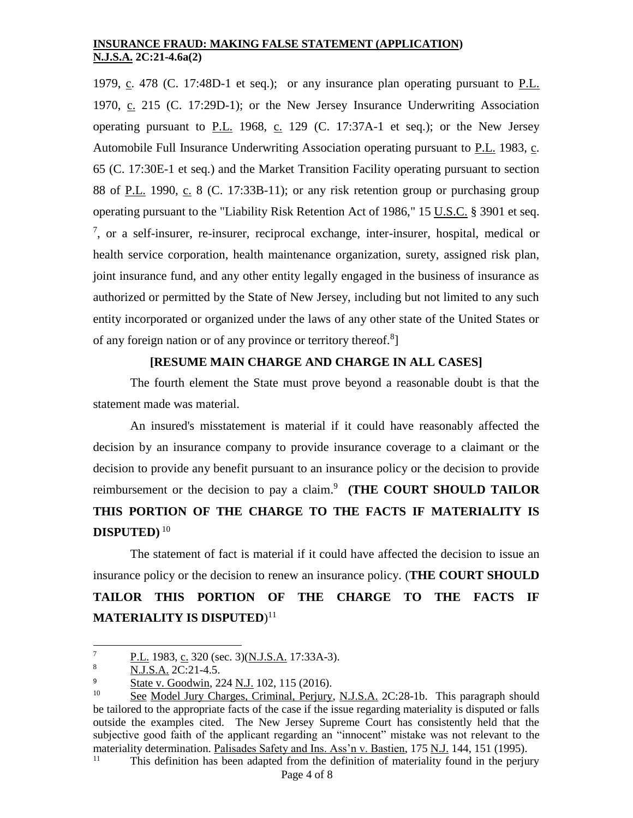1979, c. 478 (C. [17:48D-1 et seq.\)](http://web2.westlaw.com/find/default.wl?rp=%2ffind%2fdefault.wl&vc=0&DB=1000045&DocName=NJST17%3A48D%2D1&FindType=L&AP=&fn=_top&rs=WLW8.02&mt=Westlaw&vr=2.0&sv=Split); or any insurance plan operating pursuant to P.L. 1970, c. 215 (C. [17:29D-1\)](http://web2.westlaw.com/find/default.wl?rp=%2ffind%2fdefault.wl&vc=0&DB=1000045&DocName=NJST17%3A29D%2D1&FindType=L&AP=&fn=_top&rs=WLW8.02&mt=Westlaw&vr=2.0&sv=Split); or the New Jersey Insurance Underwriting Association operating pursuant to P.L. 1968, c. 129 (C. [17:37A-1 et seq.\)](http://web2.westlaw.com/find/default.wl?rp=%2ffind%2fdefault.wl&vc=0&DB=1000045&DocName=NJST17%3A37A%2D1&FindType=L&AP=&fn=_top&rs=WLW8.02&mt=Westlaw&vr=2.0&sv=Split); or the New Jersey Automobile Full Insurance Underwriting Association operating pursuant to P.L. 1983, c. 65 (C. [17:30E-1 et seq.\)](http://web2.westlaw.com/find/default.wl?rp=%2ffind%2fdefault.wl&vc=0&DB=1000045&DocName=NJST17%3A30E%2D1&FindType=L&AP=&fn=_top&rs=WLW8.02&mt=Westlaw&vr=2.0&sv=Split) and the Market Transition Facility operating pursuant to section 88 of P.L. 1990, c. 8 (C. [17:33B-11\)](http://web2.westlaw.com/find/default.wl?rp=%2ffind%2fdefault.wl&vc=0&DB=1000045&DocName=NJST17%3A33B%2D11&FindType=L&AP=&fn=_top&rs=WLW8.02&mt=Westlaw&vr=2.0&sv=Split); or any risk retention group or purchasing group operating pursuant to the "Liability Risk Retention Act of 1986," 15 U.S.C. [§ 3901 et seq.](http://web2.westlaw.com/find/default.wl?rp=%2ffind%2fdefault.wl&vc=0&DB=1000546&DocName=15USCAS3901&FindType=L&AP=&fn=_top&rs=WLW8.02&mt=Westlaw&vr=2.0&sv=Split) 7 , or a self-insurer, re-insurer, reciprocal exchange, inter-insurer, hospital, medical or health service corporation, health maintenance organization, surety, assigned risk plan, joint insurance fund, and any other entity legally engaged in the business of insurance as authorized or permitted by the State of New Jersey, including but not limited to any such entity incorporated or organized under the laws of any other state of the United States or of any foreign nation or of any province or territory thereof.<sup>8</sup>]

# **[RESUME MAIN CHARGE AND CHARGE IN ALL CASES]**

The fourth element the State must prove beyond a reasonable doubt is that the statement made was material.

An insured's misstatement is material if it could have reasonably affected the decision by an insurance company to provide insurance coverage to a claimant or the decision to provide any benefit pursuant to an insurance policy or the decision to provide reimbursement or the decision to pay a claim. 9 **(THE COURT SHOULD TAILOR THIS PORTION OF THE CHARGE TO THE FACTS IF MATERIALITY IS DISPUTED)** <sup>10</sup>

The statement of fact is material if it could have affected the decision to issue an insurance policy or the decision to renew an insurance policy. (**THE COURT SHOULD TAILOR THIS PORTION OF THE CHARGE TO THE FACTS IF MATERIALITY IS DISPUTED**) 11

This definition has been adapted from the definition of materiality found in the perjury

 $\overline{7}$  $\frac{P.L.}{NIS A}$  P.C. 320 (sec. 3)(N.J.S.A. 17:33A-3).

<sup>8</sup> N.J.S.A. 2C:21-4.5.

 $\frac{9}{10}$  State v. Goodwin, 224 N.J. 102, 115 (2016).

See Model Jury Charges, Criminal, Perjury, N.J.S.A. 2C:28-1b. This paragraph should be tailored to the appropriate facts of the case if the issue regarding materiality is disputed or falls outside the examples cited. The New Jersey Supreme Court has consistently held that the subjective good faith of the applicant regarding an "innocent" mistake was not relevant to the materiality determination. <u>Palisades Safety and Ins. Ass'n v. Bastien</u>, 175 <u>N.J.</u> 144, 151 (1995).<br><sup>11</sup> This definition has been edented from the definition of meteriality found in the portu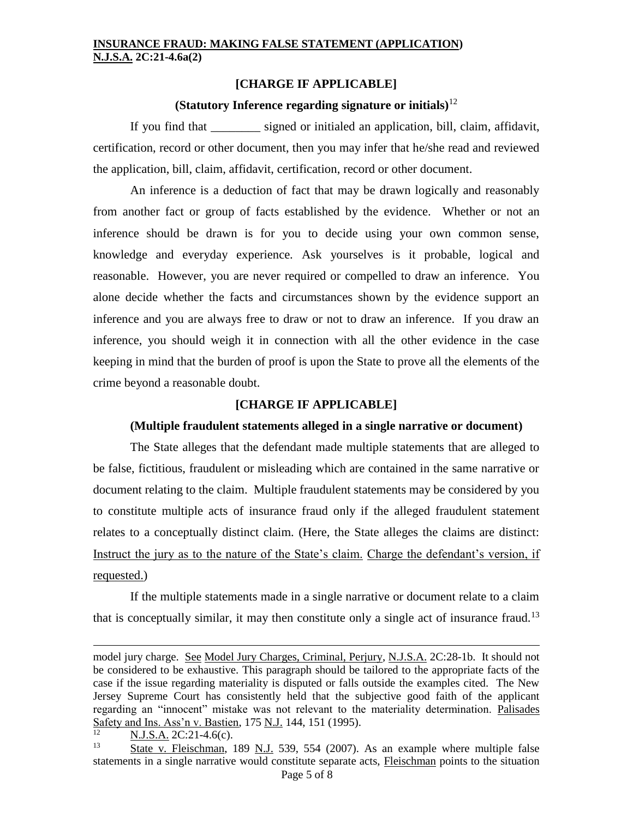## **[CHARGE IF APPLICABLE]**

#### **(Statutory Inference regarding signature or initials)**<sup>12</sup>

If you find that signed or initialed an application, bill, claim, affidavit, certification, record or other document, then you may infer that he/she read and reviewed the application, bill, claim, affidavit, certification, record or other document.

An inference is a deduction of fact that may be drawn logically and reasonably from another fact or group of facts established by the evidence. Whether or not an inference should be drawn is for you to decide using your own common sense, knowledge and everyday experience. Ask yourselves is it probable, logical and reasonable. However, you are never required or compelled to draw an inference. You alone decide whether the facts and circumstances shown by the evidence support an inference and you are always free to draw or not to draw an inference. If you draw an inference, you should weigh it in connection with all the other evidence in the case keeping in mind that the burden of proof is upon the State to prove all the elements of the crime beyond a reasonable doubt.

## **[CHARGE IF APPLICABLE]**

#### **(Multiple fraudulent statements alleged in a single narrative or document)**

The State alleges that the defendant made multiple statements that are alleged to be false, fictitious, fraudulent or misleading which are contained in the same narrative or document relating to the claim. Multiple fraudulent statements may be considered by you to constitute multiple acts of insurance fraud only if the alleged fraudulent statement relates to a conceptually distinct claim. (Here, the State alleges the claims are distinct: Instruct the jury as to the nature of the State's claim. Charge the defendant's version, if requested.)

If the multiple statements made in a single narrative or document relate to a claim that is conceptually similar, it may then constitute only a single act of insurance fraud.<sup>13</sup>

 $\frac{N.J.S.A.}{N}$  2C:21-4.6(c).

l

model jury charge. See Model Jury Charges, Criminal, Perjury, N.J.S.A. 2C:28-1b. It should not be considered to be exhaustive. This paragraph should be tailored to the appropriate facts of the case if the issue regarding materiality is disputed or falls outside the examples cited. The New Jersey Supreme Court has consistently held that the subjective good faith of the applicant regarding an "innocent" mistake was not relevant to the materiality determination. Palisades Safety and Ins. Ass'n v. Bastien, 175 N.J. 144, 151 (1995).

Page 5 of 8 State v. Fleischman, 189 N.J. 539, 554 (2007). As an example where multiple false statements in a single narrative would constitute separate acts, Fleischman points to the situation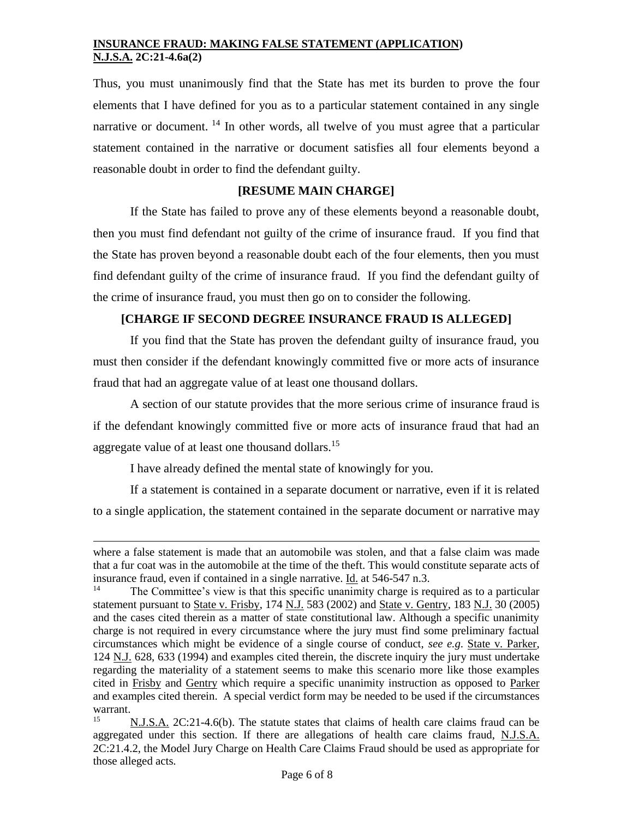Thus, you must unanimously find that the State has met its burden to prove the four elements that I have defined for you as to a particular statement contained in any single narrative or document. <sup>14</sup> In other words, all twelve of you must agree that a particular statement contained in the narrative or document satisfies all four elements beyond a reasonable doubt in order to find the defendant guilty.

# **[RESUME MAIN CHARGE]**

If the State has failed to prove any of these elements beyond a reasonable doubt, then you must find defendant not guilty of the crime of insurance fraud. If you find that the State has proven beyond a reasonable doubt each of the four elements, then you must find defendant guilty of the crime of insurance fraud. If you find the defendant guilty of the crime of insurance fraud, you must then go on to consider the following.

## **[CHARGE IF SECOND DEGREE INSURANCE FRAUD IS ALLEGED]**

If you find that the State has proven the defendant guilty of insurance fraud, you must then consider if the defendant knowingly committed five or more acts of insurance fraud that had an aggregate value of at least one thousand dollars.

A section of our statute provides that the more serious crime of insurance fraud is if the defendant knowingly committed five or more acts of insurance fraud that had an aggregate value of at least one thousand dollars.<sup>15</sup>

I have already defined the mental state of knowingly for you.

l

If a statement is contained in a separate document or narrative, even if it is related to a single application, the statement contained in the separate document or narrative may

where a false statement is made that an automobile was stolen, and that a false claim was made that a fur coat was in the automobile at the time of the theft. This would constitute separate acts of insurance fraud, even if contained in a single narrative.  $\underline{Id}$  at 546-547 n.3.<br><sup>14</sup> The Committee's view is that this aposition manimity above is not

The Committee's view is that this specific unanimity charge is required as to a particular statement pursuant to State v. Frisby, 174 N.J. 583 (2002) and State v. Gentry, 183 N.J. 30 (2005) and the cases cited therein as a matter of state constitutional law. Although a specific unanimity charge is not required in every circumstance where the jury must find some preliminary factual circumstances which might be evidence of a single course of conduct, *see e.g*. State v. Parker, 124 N.J. 628, 633 (1994) and examples cited therein, the discrete inquiry the jury must undertake regarding the materiality of a statement seems to make this scenario more like those examples cited in Frisby and Gentry which require a specific unanimity instruction as opposed to Parker and examples cited therein. A special verdict form may be needed to be used if the circumstances warrant.

<sup>15</sup> N.J.S.A. 2C:21-4.6(b). The statute states that claims of health care claims fraud can be aggregated under this section. If there are allegations of health care claims fraud, N.J.S.A. 2C:21.4.2, the Model Jury Charge on Health Care Claims Fraud should be used as appropriate for those alleged acts.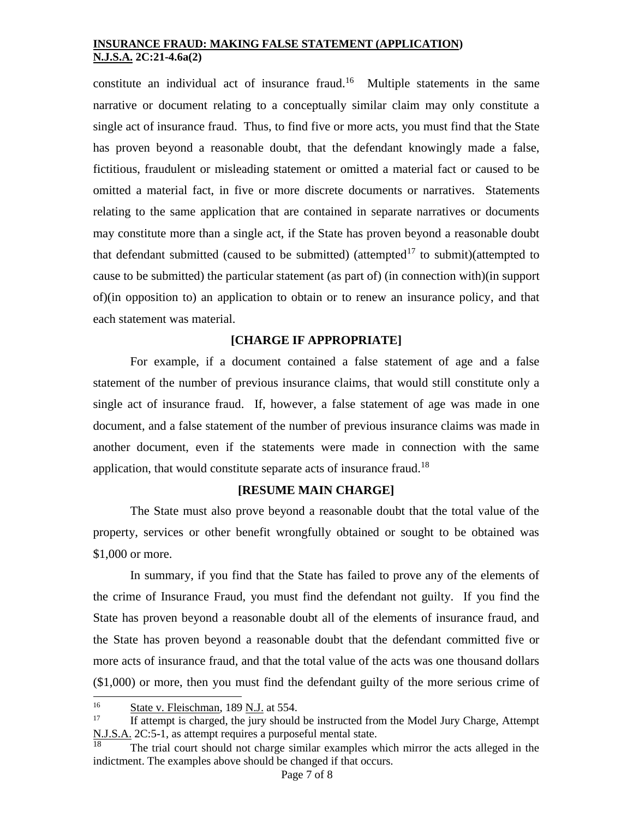constitute an individual act of insurance fraud.<sup>16</sup> Multiple statements in the same narrative or document relating to a conceptually similar claim may only constitute a single act of insurance fraud. Thus, to find five or more acts, you must find that the State has proven beyond a reasonable doubt, that the defendant knowingly made a false, fictitious, fraudulent or misleading statement or omitted a material fact or caused to be omitted a material fact, in five or more discrete documents or narratives. Statements relating to the same application that are contained in separate narratives or documents may constitute more than a single act, if the State has proven beyond a reasonable doubt that defendant submitted (caused to be submitted) (attempted<sup>17</sup> to submit)(attempted to cause to be submitted) the particular statement (as part of) (in connection with)(in support of)(in opposition to) an application to obtain or to renew an insurance policy, and that each statement was material.

# **[CHARGE IF APPROPRIATE]**

For example, if a document contained a false statement of age and a false statement of the number of previous insurance claims, that would still constitute only a single act of insurance fraud. If, however, a false statement of age was made in one document, and a false statement of the number of previous insurance claims was made in another document, even if the statements were made in connection with the same application, that would constitute separate acts of insurance fraud.<sup>18</sup>

#### **[RESUME MAIN CHARGE]**

The State must also prove beyond a reasonable doubt that the total value of the property, services or other benefit wrongfully obtained or sought to be obtained was \$1,000 or more.

In summary, if you find that the State has failed to prove any of the elements of the crime of Insurance Fraud, you must find the defendant not guilty. If you find the State has proven beyond a reasonable doubt all of the elements of insurance fraud, and the State has proven beyond a reasonable doubt that the defendant committed five or more acts of insurance fraud, and that the total value of the acts was one thousand dollars (\$1,000) or more, then you must find the defendant guilty of the more serious crime of

 $16<sup>16</sup>$  $\frac{16}{17}$  State v. Fleischman, 189 N.J. at 554.

<sup>17</sup> If attempt is charged, the jury should be instructed from the Model Jury Charge, Attempt  $\underline{\text{N.J.S.A.}}$  2C:5-1, as attempt requires a purposeful mental state.

The trial court should not charge similar examples which mirror the acts alleged in the indictment. The examples above should be changed if that occurs.